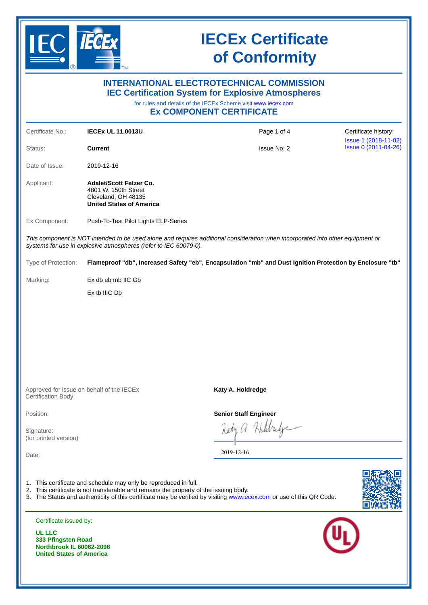

**United States of America**

## **IECEx Certificate of Conformity**

| <b>INTERNATIONAL ELECTROTECHNICAL COMMISSION</b><br><b>IEC Certification System for Explosive Atmospheres</b><br>for rules and details of the IECEx Scheme visit www.iecex.com<br><b>EX COMPONENT CERTIFICATE</b> |                                                                                                                                                           |                                                                                                                                 |                                              |  |  |  |
|-------------------------------------------------------------------------------------------------------------------------------------------------------------------------------------------------------------------|-----------------------------------------------------------------------------------------------------------------------------------------------------------|---------------------------------------------------------------------------------------------------------------------------------|----------------------------------------------|--|--|--|
| Certificate No.:                                                                                                                                                                                                  | <b>IECEX UL 11.0013U</b>                                                                                                                                  | Page 1 of 4                                                                                                                     | Certificate history:                         |  |  |  |
| Status:                                                                                                                                                                                                           | <b>Current</b>                                                                                                                                            | <b>Issue No: 2</b>                                                                                                              | Issue 1 (2018-11-02)<br>Issue 0 (2011-04-26) |  |  |  |
| Date of Issue:                                                                                                                                                                                                    | 2019-12-16                                                                                                                                                |                                                                                                                                 |                                              |  |  |  |
| Applicant:                                                                                                                                                                                                        | <b>Adalet/Scott Fetzer Co.</b><br>4801 W. 150th Street<br>Cleveland, OH 48135<br><b>United States of America</b>                                          |                                                                                                                                 |                                              |  |  |  |
| Ex Component:                                                                                                                                                                                                     | Push-To-Test Pilot Lights ELP-Series                                                                                                                      |                                                                                                                                 |                                              |  |  |  |
|                                                                                                                                                                                                                   | systems for use in explosive atmospheres (refer to IEC 60079-0).                                                                                          | This component is NOT intended to be used alone and requires additional consideration when incorporated into other equipment or |                                              |  |  |  |
| Type of Protection:                                                                                                                                                                                               | Flameproof "db", Increased Safety "eb", Encapsulation "mb" and Dust Ignition Protection by Enclosure "tb"                                                 |                                                                                                                                 |                                              |  |  |  |
| Marking:                                                                                                                                                                                                          | Ex db eb mb IIC Gb                                                                                                                                        |                                                                                                                                 |                                              |  |  |  |
|                                                                                                                                                                                                                   | Ex tb IIIC Db                                                                                                                                             |                                                                                                                                 |                                              |  |  |  |
|                                                                                                                                                                                                                   | Approved for issue on behalf of the IECEX                                                                                                                 | Katy A. Holdredge                                                                                                               |                                              |  |  |  |
| Certification Body:                                                                                                                                                                                               |                                                                                                                                                           |                                                                                                                                 |                                              |  |  |  |
| Position:                                                                                                                                                                                                         |                                                                                                                                                           | <b>Senior Staff Engineer</b>                                                                                                    |                                              |  |  |  |
| Signature:<br>(for printed version)                                                                                                                                                                               |                                                                                                                                                           |                                                                                                                                 |                                              |  |  |  |
| Date:                                                                                                                                                                                                             |                                                                                                                                                           | 2019-12-16                                                                                                                      |                                              |  |  |  |
|                                                                                                                                                                                                                   | 1. This certificate and schedule may only be reproduced in full.<br>2. This certificate is not transferable and remains the property of the issuing body. | 3. The Status and authenticity of this certificate may be verified by visiting www.iecex.com or use of this QR Code.            |                                              |  |  |  |
| Certificate issued by:                                                                                                                                                                                            |                                                                                                                                                           |                                                                                                                                 |                                              |  |  |  |
| UL LLC<br>333 Pfingsten Road<br><b>Northbrook IL 60062-2096</b>                                                                                                                                                   |                                                                                                                                                           |                                                                                                                                 |                                              |  |  |  |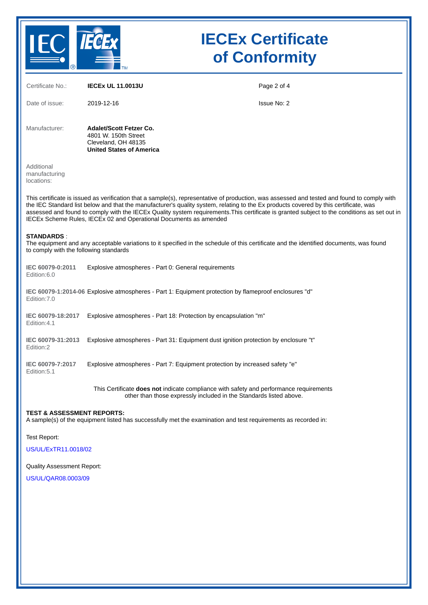

# **IECEx Certificate of Conformity**

| Certificate No.:                                                                                                                                                                                                                                                                                                                                                                                                                                                                                         | <b>IECEX UL 11.0013U</b>                                                                                                                                            | Page 2 of 4 |  |  |  |
|----------------------------------------------------------------------------------------------------------------------------------------------------------------------------------------------------------------------------------------------------------------------------------------------------------------------------------------------------------------------------------------------------------------------------------------------------------------------------------------------------------|---------------------------------------------------------------------------------------------------------------------------------------------------------------------|-------------|--|--|--|
| Date of issue:                                                                                                                                                                                                                                                                                                                                                                                                                                                                                           | 2019-12-16                                                                                                                                                          | Issue No: 2 |  |  |  |
| Manufacturer:                                                                                                                                                                                                                                                                                                                                                                                                                                                                                            | <b>Adalet/Scott Fetzer Co.</b><br>4801 W. 150th Street<br>Cleveland, OH 48135<br><b>United States of America</b>                                                    |             |  |  |  |
| Additional<br>manufacturing<br>locations:                                                                                                                                                                                                                                                                                                                                                                                                                                                                |                                                                                                                                                                     |             |  |  |  |
| This certificate is issued as verification that a sample(s), representative of production, was assessed and tested and found to comply with<br>the IEC Standard list below and that the manufacturer's quality system, relating to the Ex products covered by this certificate, was<br>assessed and found to comply with the IECEx Quality system requirements. This certificate is granted subject to the conditions as set out in<br>IECEx Scheme Rules, IECEx 02 and Operational Documents as amended |                                                                                                                                                                     |             |  |  |  |
| <b>STANDARDS:</b><br>The equipment and any acceptable variations to it specified in the schedule of this certificate and the identified documents, was found<br>to comply with the following standards                                                                                                                                                                                                                                                                                                   |                                                                                                                                                                     |             |  |  |  |
| IEC 60079-0:2011<br>Edition:6.0                                                                                                                                                                                                                                                                                                                                                                                                                                                                          | Explosive atmospheres - Part 0: General requirements                                                                                                                |             |  |  |  |
| "IEC 60079-1:2014-06 Explosive atmospheres - Part 1: Equipment protection by flameproof enclosures "d<br>Edition: 7.0                                                                                                                                                                                                                                                                                                                                                                                    |                                                                                                                                                                     |             |  |  |  |
| IEC 60079-18:2017<br>Edition:4.1                                                                                                                                                                                                                                                                                                                                                                                                                                                                         | Explosive atmospheres - Part 18: Protection by encapsulation "m"                                                                                                    |             |  |  |  |
| IEC 60079-31:2013<br>Edition:2                                                                                                                                                                                                                                                                                                                                                                                                                                                                           | Explosive atmospheres - Part 31: Equipment dust ignition protection by enclosure "t"                                                                                |             |  |  |  |
| IEC 60079-7:2017<br>Edition: 5.1                                                                                                                                                                                                                                                                                                                                                                                                                                                                         | Explosive atmospheres - Part 7: Equipment protection by increased safety "e"                                                                                        |             |  |  |  |
|                                                                                                                                                                                                                                                                                                                                                                                                                                                                                                          | This Certificate <b>does not</b> indicate compliance with safety and performance requirements<br>other than those expressly included in the Standards listed above. |             |  |  |  |
| <b>TEST &amp; ASSESSMENT REPORTS:</b><br>A sample(s) of the equipment listed has successfully met the examination and test requirements as recorded in:                                                                                                                                                                                                                                                                                                                                                  |                                                                                                                                                                     |             |  |  |  |
| Test Report:                                                                                                                                                                                                                                                                                                                                                                                                                                                                                             |                                                                                                                                                                     |             |  |  |  |

[US/UL/ExTR11.0018/02](https://www.iecex-certs.com/deliverables/REPORT/61864/view)

Quality Assessment Report:

[US/UL/QAR08.0003/09](https://www.iecex-certs.com/deliverables/REPORT/61366/view)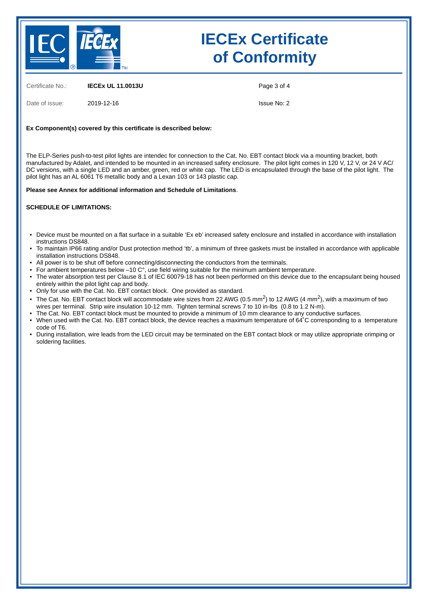

## **IECEx Certificate of Conformity**

Certificate No.: **IECEx UL 11.0013U**

Date of issue: 2019-12-16

Page 3 of 4

Issue No: 2

### **Ex Component(s) covered by this certificate is described below:**

The ELP-Series push-to-test pilot lights are intendec for connection to the Cat. No. EBT contact block via a mounting bracket, both manufactured by Adalet, and intended to be mounted in an increased safety enclosure. The pilot light comes in 120 V, 12 V, or 24 V AC/ DC versions, with a single LED and an amber, green, red or white cap. The LED is encapsulated through the base of the pilot light. The pilot light has an AL 6061 T6 metallic body and a Lexan 103 or 143 plastic cap.

**Please see Annex for additional information and Schedule of Limitations**.

#### **SCHEDULE OF LIMITATIONS:**

- Device must be mounted on a flat surface in a suitable 'Ex eb' increased safety enclosure and installed in accordance with installation instructions DS848.
- To maintain IP66 rating and/or Dust protection method 'tb', a minimum of three gaskets must be installed in accordance with applicable installation instructions DS848.
- All power is to be shut off before connecting/disconnecting the conductors from the terminals.
- For ambient temperatures below –10 C°, use field wiring suitable for the minimum ambient temperature.
- The water absorption test per Clause 8.1 of IEC 60079-18 has not been performed on this device due to the encapsulant being housed entirely within the pilot light cap and body.
- Only for use with the Cat. No. EBT contact block. One provided as standard.
- The Cat. No. EBT contact block will accommodate wire sizes from 22 AWG (0.5 mm<sup>2</sup>) to 12 AWG (4 mm<sup>2</sup>), with a maximum of two wires per terminal. Strip wire insulation 10-12 mm. Tighten terminal screws 7 to 10 in-lbs (0.8 to 1.2 N-m).
- The Cat. No. EBT contact block must be mounted to provide a minimum of 10 mm clearance to any conductive surfaces.
- When used with the Cat. No. EBT contact block, the device reaches a maximum temperature of 64°C corresponding to a temperature code of T6.
- During installation, wire leads from the LED circuit may be terminated on the EBT contact block or may utilize appropriate crimping or soldering facilities.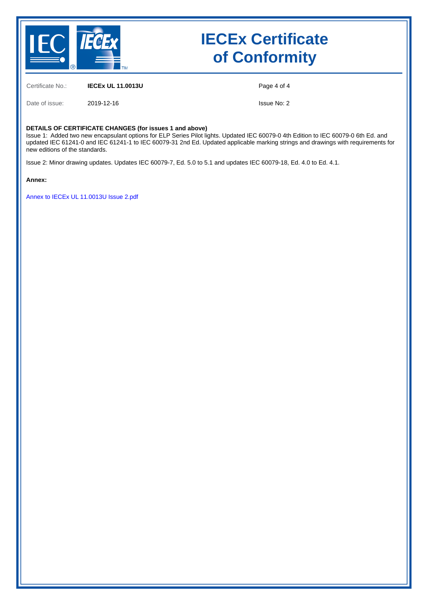

## **IECEx Certificate of Conformity**

Certificate No.: **IECEx UL 11.0013U**

Page 4 of 4

Date of issue: 2019-12-16

Issue No: 2

#### **DETAILS OF CERTIFICATE CHANGES (for issues 1 and above)**

Issue 1: Added two new encapsulant options for ELP Series Pilot lights. Updated IEC 60079-0 4th Edition to IEC 60079-0 6th Ed. and updated IEC 61241-0 and IEC 61241-1 to IEC 60079-31 2nd Ed. Updated applicable marking strings and drawings with requirements for new editions of the standards.

Issue 2: Minor drawing updates. Updates IEC 60079-7, Ed. 5.0 to 5.1 and updates IEC 60079-18, Ed. 4.0 to Ed. 4.1.

**Annex:**

[Annex to IECEx UL 11.0013U Issue 2.pdf](https://www.iecex-certs.com/deliverables/CERT/45370/view)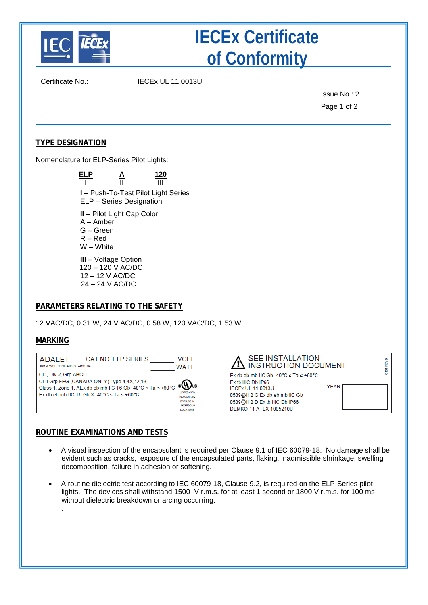

# **IECEx Certificate of Conformity**

Certificate No.: IECEx UL 11.0013U

Issue No.: 2 Page 1 of 2

## **TYPE DESIGNATION**

Nomenclature for ELP-Series Pilot Lights:

| ELP                                                                                 | <u>А</u><br>П              | 120<br>Ш                            |
|-------------------------------------------------------------------------------------|----------------------------|-------------------------------------|
|                                                                                     | ELP - Series Designation   | I – Push-To-Test Pilot Light Series |
| $A -$ Amber<br>G – Green<br>$R - Red$<br>W - White                                  | II - Pilot Light Cap Color |                                     |
| $III - Voltage Option$<br>120 - 120 V AC/DC<br>12 – 12 V AC/DC<br>$24 - 24$ V AC/DC |                            |                                     |

### **PARAMETERS RELATING TO THE SAFETY**

12 VAC/DC, 0.31 W, 24 V AC/DC, 0.58 W, 120 VAC/DC, 1.53 W

### **MARKING**

.

| CAT NO: ELP SERIES<br><b>ADALET</b><br>4801 W 150TH, CLEVELAND, OH 44135 USA                                                                                                                                         | <b>VOLT</b><br><b>WATT</b>                                        | <b>SEE INSTALLATION</b><br>$\sum$ instruction document                                                                                                                                                     |      |  |
|----------------------------------------------------------------------------------------------------------------------------------------------------------------------------------------------------------------------|-------------------------------------------------------------------|------------------------------------------------------------------------------------------------------------------------------------------------------------------------------------------------------------|------|--|
| CII, Div 2, Grp ABCD<br>CI II Grp EFG (CANADA ONLY) Type 4.4X,12,13<br>Class 1, Zone 1, AEx db eb mb IIC T6 Gb -40 °C $\leq$ Ta $\leq$ +60 °C $\leq$ UU us<br>$EX$ db eb mb IIC T6 Gb X -40 °C $\le$ Ta $\le$ +60 °C | INO.CONT.EQ<br>FOR USE IN<br><b>HAZARDOUS</b><br><b>LOCATIONS</b> | Ex db eb mb IIC Gb -40 °C $\le$ Ta $\le$ +60 °C<br>Ex tb IIIC Db IP66<br><b>IECEX UL 11.0013U</b><br>0539 & II 2 G Ex db eb mb IIC Gb<br>0539 @ II 2 D Ex tb IIIC Db IP66<br><b>DEMKO 11 ATEX 1005210U</b> | YEAR |  |

### **ROUTINE EXAMINATIONS AND TESTS**

- A visual inspection of the encapsulant is required per Clause 9.1 of IEC 60079-18. No damage shall be evident such as cracks, exposure of the encapsulated parts, flaking, inadmissible shrinkage, swelling decomposition, failure in adhesion or softening.
- A routine dielectric test according to IEC 60079-18, Clause 9.2, is required on the ELP-Series pilot lights. The devices shall withstand 1500 V r.m.s. for at least 1 second or 1800 V r.m.s. for 100 ms without dielectric breakdown or arcing occurring.